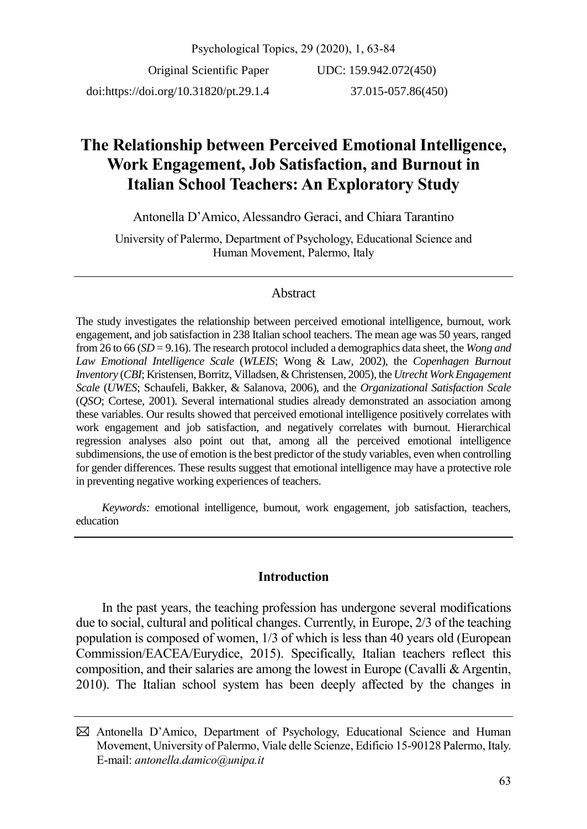Psychological Topics, 29 (2020), 1, 63-84 Original Scientific Paper doi:https://doi.org/10.31820/pt.29.1.4 UDC: 159.942.072(450) 37.015-057.86(450)

# **The Relationship between Perceived Emotional Intelligence, Work Engagement, Job Satisfaction, and Burnout in Italian School Teachers: An Exploratory Study**

Antonella D'Amico, Alessandro Geraci, and Chiara Tarantino

University of Palermo, Department of Psychology, Educational Science and Human Movement, Palermo, Italy

# Abstract

The study investigates the relationship between perceived emotional intelligence, burnout, work engagement, and job satisfaction in 238 Italian school teachers. The mean age was 50 years, ranged from 26 to 66 (*SD* = 9.16). The research protocol included a demographics data sheet, the *Wong and Law Emotional Intelligence Scale* (*WLEIS*; Wong & Law, 2002), the *Copenhagen Burnout Inventory* (*CBI*; Kristensen, Borritz, Villadsen, & Christensen, 2005), the *Utrecht Work Engagement Scale* (*UWES*; Schaufeli, Bakker, & Salanova, 2006), and the *Organizational Satisfaction Scale*  (*QSO*; Cortese, 2001). Several international studies already demonstrated an association among these variables. Our results showed that perceived emotional intelligence positively correlates with work engagement and job satisfaction, and negatively correlates with burnout. Hierarchical regression analyses also point out that, among all the perceived emotional intelligence subdimensions, the use of emotion is the best predictor of the study variables, even when controlling for gender differences. These results suggest that emotional intelligence may have a protective role in preventing negative working experiences of teachers.

*Keywords:* emotional intelligence, burnout, work engagement, job satisfaction, teachers, education

# **Introduction**

In the past years, the teaching profession has undergone several modifications due to social, cultural and political changes. Currently, in Europe, 2/3 of the teaching population is composed of women, 1/3 of which is less than 40 years old (European Commission/EACEA/Eurydice, 2015). Specifically, Italian teachers reflect this composition, and their salaries are among the lowest in Europe (Cavalli & Argentin, 2010). The Italian school system has been deeply affected by the changes in

Antonella D'Amico, Department of Psychology, Educational Science and Human Movement, University of Palermo, Viale delle Scienze, Edificio 15-90128 Palermo, Italy. E-mail: *[antonella.damico@unipa.it](mailto:antonella.damico@unipa.it)*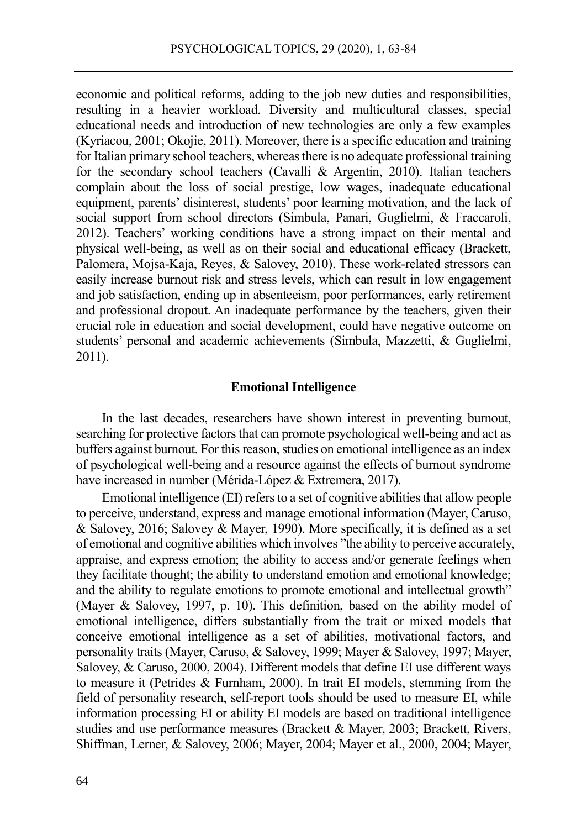economic and political reforms, adding to the job new duties and responsibilities, resulting in a heavier workload. Diversity and multicultural classes, special educational needs and introduction of new technologies are only a few examples (Kyriacou, 2001; Okojie, 2011). Moreover, there is a specific education and training for Italian primary school teachers, whereas there is no adequate professional training for the secondary school teachers (Cavalli & Argentin, 2010). Italian teachers complain about the loss of social prestige, low wages, inadequate educational equipment, parents' disinterest, students' poor learning motivation, and the lack of social support from school directors (Simbula, Panari, Guglielmi, & Fraccaroli, 2012). Teachers' working conditions have a strong impact on their mental and physical well-being, as well as on their social and educational efficacy (Brackett, Palomera, Mojsa-Kaja, Reyes, & Salovey, 2010). These work-related stressors can easily increase burnout risk and stress levels, which can result in low engagement and job satisfaction, ending up in absenteeism, poor performances, early retirement and professional dropout. An inadequate performance by the teachers, given their crucial role in education and social development, could have negative outcome on students' personal and academic achievements (Simbula, Mazzetti, & Guglielmi, 2011).

### **Emotional Intelligence**

In the last decades, researchers have shown interest in preventing burnout, searching for protective factors that can promote psychological well-being and act as buffers against burnout. For this reason, studies on emotional intelligence as an index of psychological well-being and a resource against the effects of burnout syndrome have increased in number (Mérida-López & Extremera, 2017).

Emotional intelligence (EI) refers to a set of cognitive abilities that allow people to perceive, understand, express and manage emotional information (Mayer, Caruso, & Salovey, 2016; Salovey & Mayer, 1990). More specifically, it is defined as a set of emotional and cognitive abilities which involves "the ability to perceive accurately, appraise, and express emotion; the ability to access and/or generate feelings when they facilitate thought; the ability to understand emotion and emotional knowledge; and the ability to regulate emotions to promote emotional and intellectual growth" (Mayer & Salovey, 1997, p. 10). This definition, based on the ability model of emotional intelligence, differs substantially from the trait or mixed models that conceive emotional intelligence as a set of abilities, motivational factors, and personality traits (Mayer, Caruso, & Salovey, 1999; Mayer & Salovey, 1997; Mayer, Salovey, & Caruso, 2000, 2004). Different models that define EI use different ways to measure it (Petrides & Furnham, 2000). In trait EI models, stemming from the field of personality research, self-report tools should be used to measure EI, while information processing EI or ability EI models are based on traditional intelligence studies and use performance measures (Brackett & Mayer, 2003; Brackett, Rivers, Shiffman, Lerner, & Salovey, 2006; Mayer, 2004; Mayer et al., 2000, 2004; Mayer,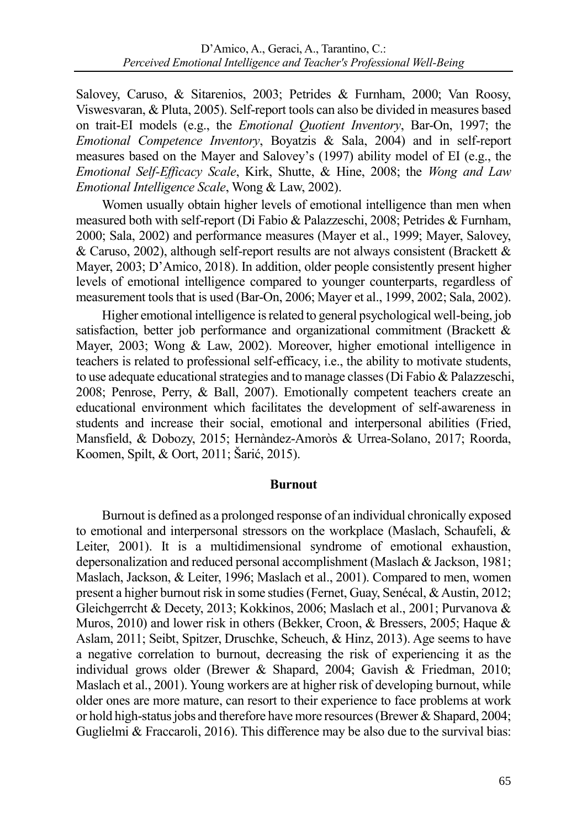Salovey, Caruso, & Sitarenios, 2003; Petrides & Furnham, 2000; Van Roosy, Viswesvaran, & Pluta, 2005). Self-report tools can also be divided in measures based on trait-EI models (e.g., the *Emotional Quotient Inventory*, Bar-On, 1997; the *Emotional Competence Inventory*, Boyatzis & Sala, 2004) and in self-report measures based on the Mayer and Salovey's (1997) ability model of EI (e.g., the *Emotional Self-Efficacy Scale*, Kirk, Shutte, & Hine, 2008; the *Wong and Law Emotional Intelligence Scale*, Wong & Law, 2002).

Women usually obtain higher levels of emotional intelligence than men when measured both with self-report (Di Fabio & Palazzeschi, 2008; Petrides & Furnham, 2000; Sala, 2002) and performance measures (Mayer et al., 1999; Mayer, Salovey, & Caruso, 2002), although self-report results are not always consistent (Brackett  $\&$ Mayer, 2003; D'Amico, 2018). In addition, older people consistently present higher levels of emotional intelligence compared to younger counterparts, regardless of measurement tools that is used (Bar-On, 2006; Mayer et al., 1999, 2002; Sala, 2002).

Higher emotional intelligence is related to general psychological well-being, job satisfaction, better job performance and organizational commitment (Brackett & Mayer, 2003; Wong & Law, 2002). Moreover, higher emotional intelligence in teachers is related to professional self-efficacy, i.e., the ability to motivate students, to use adequate educational strategies and to manage classes (Di Fabio & Palazzeschi, 2008; Penrose, Perry, & Ball, 2007). Emotionally competent teachers create an educational environment which facilitates the development of self-awareness in students and increase their social, emotional and interpersonal abilities (Fried, Mansfield, & Dobozy, 2015; Hernàndez-Amoròs & Urrea-Solano, 2017; Roorda, Koomen, Spilt, & Oort, 2011; Šarić, 2015).

# **Burnout**

Burnout is defined as a prolonged response of an individual chronically exposed to emotional and interpersonal stressors on the workplace (Maslach, Schaufeli, & Leiter, 2001). It is a multidimensional syndrome of emotional exhaustion, depersonalization and reduced personal accomplishment (Maslach & Jackson, 1981; Maslach, Jackson, & Leiter, 1996; Maslach et al., 2001). Compared to men, women present a higher burnout risk in some studies (Fernet, Guay, Senécal, & Austin, 2012; Gleichgerrcht & Decety, 2013; Kokkinos, 2006; Maslach et al., 2001; Purvanova & Muros, 2010) and lower risk in others (Bekker, Croon, & Bressers, 2005; Haque & Aslam, 2011; Seibt, Spitzer, Druschke, Scheuch, & Hinz, 2013). Age seems to have a negative correlation to burnout, decreasing the risk of experiencing it as the individual grows older (Brewer & Shapard, 2004; Gavish & Friedman, 2010; Maslach et al., 2001). Young workers are at higher risk of developing burnout, while older ones are more mature, can resort to their experience to face problems at work or hold high-status jobs and therefore have more resources (Brewer & Shapard, 2004; Guglielmi & Fraccaroli, 2016). This difference may be also due to the survival bias: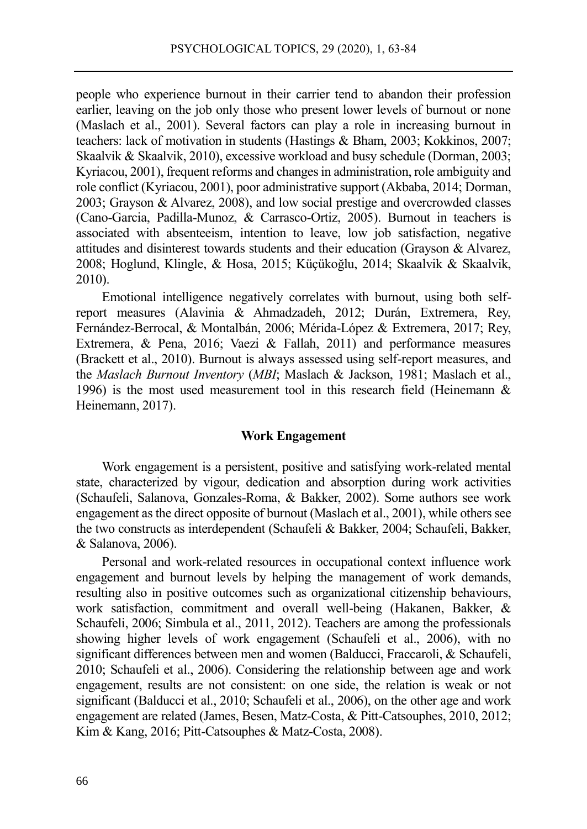people who experience burnout in their carrier tend to abandon their profession earlier, leaving on the job only those who present lower levels of burnout or none (Maslach et al., 2001). Several factors can play a role in increasing burnout in teachers: lack of motivation in students (Hastings & Bham, 2003; Kokkinos, 2007; Skaalvik & Skaalvik, 2010), excessive workload and busy schedule (Dorman, 2003; Kyriacou, 2001), frequent reforms and changes in administration, role ambiguity and role conflict (Kyriacou, 2001), poor administrative support (Akbaba, 2014; Dorman, 2003; Grayson & Alvarez, 2008), and low social prestige and overcrowded classes (Cano-Garcia, Padilla-Munoz, & Carrasco-Ortiz, 2005). Burnout in teachers is associated with absenteeism, intention to leave, low job satisfaction, negative attitudes and disinterest towards students and their education (Grayson & Alvarez, 2008; Hoglund, Klingle, & Hosa, 2015; [Küçükoğlu, 2014;](https://www.sciencedirect.com/science/article/pii/S1877042814006648#!) Skaalvik & Skaalvik, 2010).

Emotional intelligence negatively correlates with burnout, using both selfreport measures (Alavinia & Ahmadzadeh, 2012; Durán, Extremera, Rey, Fernández-Berrocal, & Montalbán, 2006; Mérida-López & Extremera, 2017; Rey, Extremera, & Pena, 2016; Vaezi & Fallah, 2011) and performance measures (Brackett et al., 2010). Burnout is always assessed using self-report measures, and the *Maslach Burnout Inventory* (*MBI*; Maslach & Jackson, 1981; Maslach et al., 1996) is the most used measurement tool in this research field (Heinemann & Heinemann, 2017).

### **Work Engagement**

Work engagement is a persistent, positive and satisfying work-related mental state, characterized by vigour, dedication and absorption during work activities (Schaufeli, Salanova, Gonzales-Roma, & Bakker, 2002). Some authors see work engagement as the direct opposite of burnout (Maslach et al., 2001), while others see the two constructs as interdependent (Schaufeli & Bakker, 2004; Schaufeli, Bakker, & Salanova, 2006).

Personal and work-related resources in occupational context influence work engagement and burnout levels by helping the management of work demands, resulting also in positive outcomes such as organizational citizenship behaviours, work satisfaction, commitment and overall well-being (Hakanen, Bakker, & Schaufeli, 2006; Simbula et al., 2011, 2012). Teachers are among the professionals showing higher levels of work engagement (Schaufeli et al., 2006), with no significant differences between men and women (Balducci, Fraccaroli, & Schaufeli, 2010; Schaufeli et al., 2006). Considering the relationship between age and work engagement, results are not consistent: on one side, the relation is weak or not significant (Balducci et al., 2010; Schaufeli et al., 2006), on the other age and work engagement are related (James, Besen, Matz-Costa, & Pitt-Catsouphes, 2010, 2012; Kim & Kang, 2016; Pitt-Catsouphes & Matz-Costa, 2008).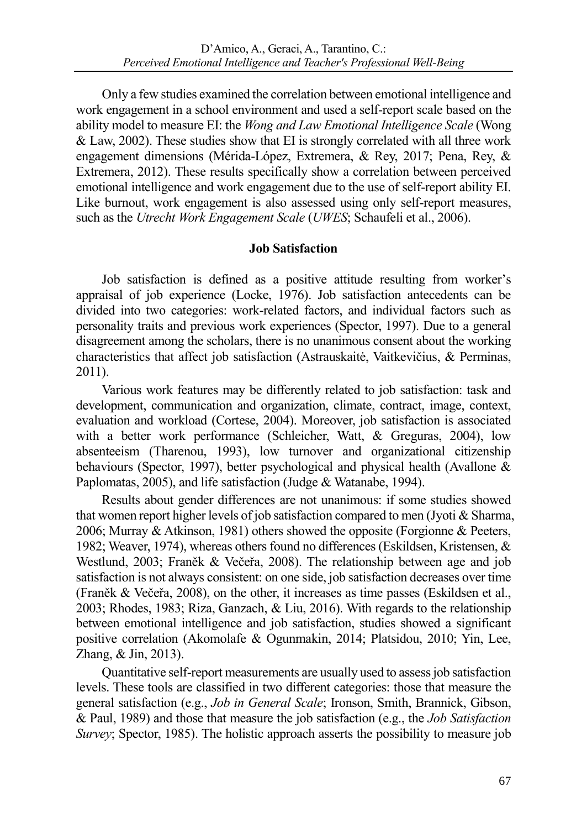Only a few studies examined the correlation between emotional intelligence and work engagement in a school environment and used a self-report scale based on the ability model to measure EI: the *Wong and Law Emotional Intelligence Scale* (Wong & Law, 2002). These studies show that EI is strongly correlated with all three work engagement dimensions (Mérida-López, Extremera, & Rey, 2017; Pena, Rey, & Extremera, 2012). These results specifically show a correlation between perceived emotional intelligence and work engagement due to the use of self-report ability EI. Like burnout, work engagement is also assessed using only self-report measures, such as the *Utrecht Work Engagement Scale* (*UWES*; Schaufeli et al., 2006).

# **Job Satisfaction**

Job satisfaction is defined as a positive attitude resulting from worker's appraisal of job experience (Locke, 1976). Job satisfaction antecedents can be divided into two categories: work-related factors, and individual factors such as personality traits and previous work experiences (Spector, 1997). Due to a general disagreement among the scholars, there is no unanimous consent about the working characteristics that affect job satisfaction (Astrauskaitė, Vaitkevičius, & Perminas, 2011).

Various work features may be differently related to job satisfaction: task and development, communication and organization, climate, contract, image, context, evaluation and workload (Cortese, 2004). Moreover, job satisfaction is associated with a better work performance (Schleicher, Watt, & Greguras, 2004), low absenteeism (Tharenou, 1993), low turnover and organizational citizenship behaviours (Spector, 1997), better psychological and physical health (Avallone & Paplomatas, 2005), and life satisfaction (Judge & Watanabe, 1994).

Results about gender differences are not unanimous: if some studies showed that women report higher levels of job satisfaction compared to men (Jyoti & Sharma, 2006; Murray & Atkinson, 1981) others showed the opposite (Forgionne & Peeters, 1982; Weaver, 1974), whereas others found no differences (Eskildsen, Kristensen, & Westlund, 2003; Franěk & Večeřa, 2008). The relationship between age and job satisfaction is not always consistent: on one side, job satisfaction decreases over time (Franěk & Večeřa, 2008), on the other, it increases as time passes (Eskildsen et al., 2003; Rhodes, 1983; Riza, Ganzach, & Liu, 2016). With regards to the relationship between emotional intelligence and job satisfaction, studies showed a significant positive correlation (Akomolafe & Ogunmakin, 2014; Platsidou, 2010; Yin, Lee, Zhang, & Jin, 2013).

Quantitative self-report measurements are usually used to assess job satisfaction levels. These tools are classified in two different categories: those that measure the general satisfaction (e.g., *Job in General Scale*; Ironson, Smith, Brannick, Gibson, & Paul, 1989) and those that measure the job satisfaction (e.g., the *Job Satisfaction Survey*; Spector, 1985). The holistic approach asserts the possibility to measure job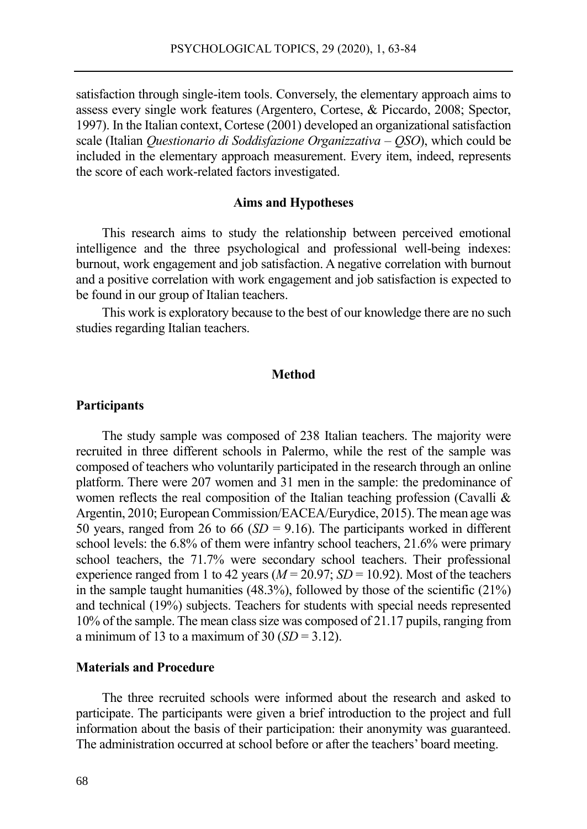satisfaction through single-item tools. Conversely, the elementary approach aims to assess every single work features (Argentero, Cortese, & Piccardo, 2008; Spector, 1997). In the Italian context, Cortese (2001) developed an organizational satisfaction scale (Italian *Questionario di Soddisfazione Organizzativa* – *QSO*), which could be included in the elementary approach measurement. Every item, indeed, represents the score of each work-related factors investigated.

#### **Aims and Hypotheses**

This research aims to study the relationship between perceived emotional intelligence and the three psychological and professional well-being indexes: burnout, work engagement and job satisfaction. A negative correlation with burnout and a positive correlation with work engagement and job satisfaction is expected to be found in our group of Italian teachers.

This work is exploratory because to the best of our knowledge there are no such studies regarding Italian teachers.

### **Method**

#### **Participants**

The study sample was composed of 238 Italian teachers. The majority were recruited in three different schools in Palermo, while the rest of the sample was composed of teachers who voluntarily participated in the research through an online platform. There were 207 women and 31 men in the sample: the predominance of women reflects the real composition of the Italian teaching profession (Cavalli & Argentin, 2010; European Commission/EACEA/Eurydice, 2015). The mean age was 50 years, ranged from 26 to 66  $(SD = 9.16)$ . The participants worked in different school levels: the 6.8% of them were infantry school teachers, 21.6% were primary school teachers, the 71.7% were secondary school teachers. Their professional experience ranged from 1 to 42 years ( $M = 20.97$ ;  $SD = 10.92$ ). Most of the teachers in the sample taught humanities (48.3%), followed by those of the scientific (21%) and technical (19%) subjects. Teachers for students with special needs represented 10% of the sample. The mean class size was composed of 21.17 pupils, ranging from a minimum of 13 to a maximum of 30  $(SD = 3.12)$ .

# **Materials and Procedure**

The three recruited schools were informed about the research and asked to participate. The participants were given a brief introduction to the project and full information about the basis of their participation: their anonymity was guaranteed. The administration occurred at school before or after the teachers' board meeting.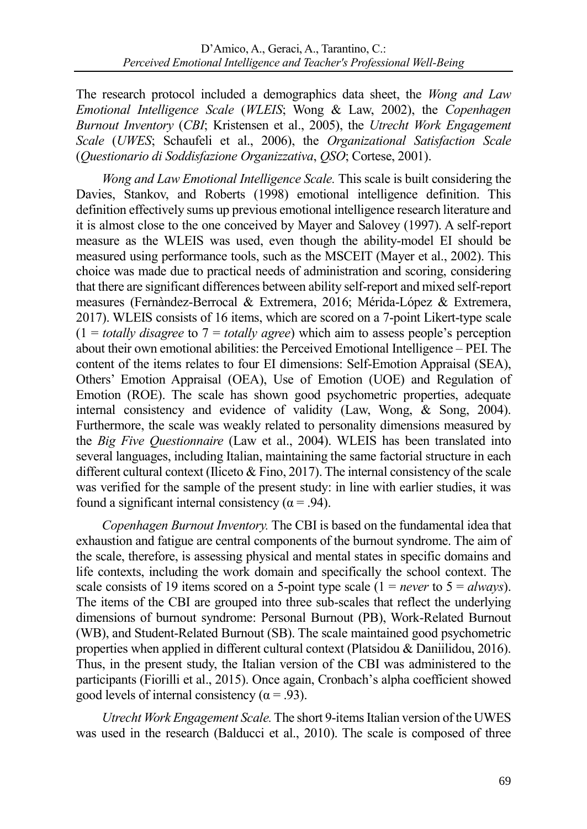The research protocol included a demographics data sheet, the *Wong and Law Emotional Intelligence Scale* (*WLEIS*; Wong & Law, 2002), the *Copenhagen Burnout Inventory* (*CBI*; Kristensen et al., 2005), the *Utrecht Work Engagement Scale* (*UWES*; Schaufeli et al., 2006), the *Organizational Satisfaction Scale* (*Questionario di Soddisfazione Organizzativa*, *QSO*; Cortese, 2001).

*Wong and Law Emotional Intelligence Scale.* This scale is built considering the Davies, Stankov, and Roberts (1998) emotional intelligence definition. This definition effectively sums up previous emotional intelligence research literature and it is almost close to the one conceived by Mayer and Salovey (1997). A self-report measure as the WLEIS was used, even though the ability-model EI should be measured using performance tools, such as the MSCEIT (Mayer et al., 2002). This choice was made due to practical needs of administration and scoring, considering that there are significant differences between ability self-report and mixed self-report measures (Fernàndez-Berrocal & Extremera, 2016; Mérida-López & Extremera, 2017). WLEIS consists of 16 items, which are scored on a 7-point Likert-type scale  $(1 = totally disagree to 7 = totally agree)$  which aim to assess people's perception about their own emotional abilities: the Perceived Emotional Intelligence – PEI. The content of the items relates to four EI dimensions: Self-Emotion Appraisal (SEA), Others' Emotion Appraisal (OEA), Use of Emotion (UOE) and Regulation of Emotion (ROE). The scale has shown good psychometric properties, adequate internal consistency and evidence of validity (Law, Wong, & Song, 2004). Furthermore, the scale was weakly related to personality dimensions measured by the *Big Five Questionnaire* (Law et al., 2004). WLEIS has been translated into several languages, including Italian, maintaining the same factorial structure in each different cultural context (Iliceto & Fino, 2017). The internal consistency of the scale was verified for the sample of the present study: in line with earlier studies, it was found a significant internal consistency ( $\alpha$  = .94).

*Copenhagen Burnout Inventory.* The CBI is based on the fundamental idea that exhaustion and fatigue are central components of the burnout syndrome. The aim of the scale, therefore, is assessing physical and mental states in specific domains and life contexts, including the work domain and specifically the school context. The scale consists of 19 items scored on a 5-point type scale (1 = *never* to 5 = *always*). The items of the CBI are grouped into three sub-scales that reflect the underlying dimensions of burnout syndrome: Personal Burnout (PB), Work-Related Burnout (WB), and Student-Related Burnout (SB). The scale maintained good psychometric properties when applied in different cultural context (Platsidou & Daniilidou, 2016). Thus, in the present study, the Italian version of the CBI was administered to the participants (Fiorilli et al., 2015). Once again, Cronbach's alpha coefficient showed good levels of internal consistency ( $\alpha$  = .93).

*Utrecht Work Engagement Scale.*The short 9-items Italian version of the UWES was used in the research (Balducci et al., 2010). The scale is composed of three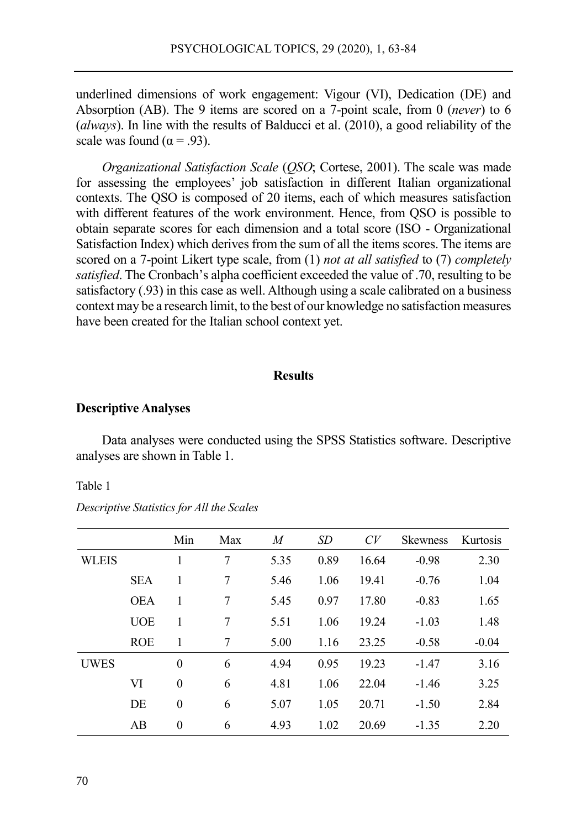underlined dimensions of work engagement: Vigour (VI), Dedication (DE) and Absorption (AB). The 9 items are scored on a 7-point scale, from 0 (*never*) to 6 (*always*). In line with the results of Balducci et al. (2010), a good reliability of the scale was found ( $\alpha$  = .93).

*Organizational Satisfaction Scale* (*QSO*; Cortese, 2001). The scale was made for assessing the employees' job satisfaction in different Italian organizational contexts. The QSO is composed of 20 items, each of which measures satisfaction with different features of the work environment. Hence, from OSO is possible to obtain separate scores for each dimension and a total score (ISO - Organizational Satisfaction Index) which derives from the sum of all the items scores. The items are scored on a 7-point Likert type scale, from (1) *not at all satisfied* to (7) *completely satisfied*. The Cronbach's alpha coefficient exceeded the value of .70, resulting to be satisfactory (.93) in this case as well. Although using a scale calibrated on a business context may be a research limit, to the best of our knowledge no satisfaction measures have been created for the Italian school context yet.

# **Results**

#### **Descriptive Analyses**

Data analyses were conducted using the SPSS Statistics software. Descriptive analyses are shown in Table 1.

Table 1

*Descriptive Statistics for All the Scales*

|              |            | Min      | Max | M    | SD   | CV    | <b>Skewness</b> | Kurtosis |
|--------------|------------|----------|-----|------|------|-------|-----------------|----------|
| <b>WLEIS</b> |            | 1        | 7   | 5.35 | 0.89 | 16.64 | $-0.98$         | 2.30     |
|              | <b>SEA</b> | 1        | 7   | 5.46 | 1.06 | 19.41 | $-0.76$         | 1.04     |
|              | <b>OEA</b> | 1        | 7   | 5.45 | 0.97 | 17.80 | $-0.83$         | 1.65     |
|              | <b>UOE</b> | 1        | 7   | 5.51 | 1.06 | 19.24 | $-1.03$         | 1.48     |
|              | <b>ROE</b> | 1        | 7   | 5.00 | 1.16 | 23.25 | $-0.58$         | $-0.04$  |
| <b>UWES</b>  |            | $\theta$ | 6   | 4.94 | 0.95 | 19.23 | $-1.47$         | 3.16     |
|              | VI         | $\theta$ | 6   | 4.81 | 1.06 | 22.04 | $-1.46$         | 3.25     |
|              | DE         | $\theta$ | 6   | 5.07 | 1.05 | 20.71 | $-1.50$         | 2.84     |
|              | AB         | $\theta$ | 6   | 4.93 | 1.02 | 20.69 | $-1.35$         | 2.20     |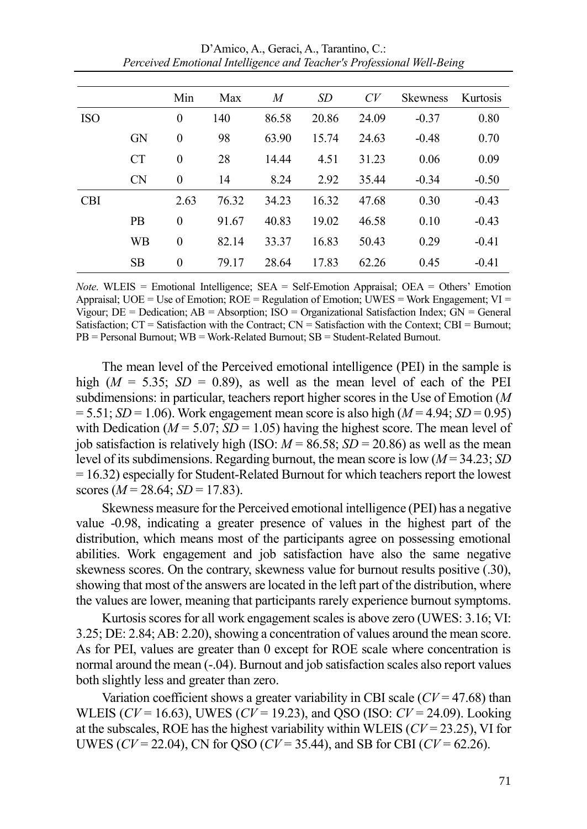|            |           | Min      | Max   | M     | SD    | CV    | <b>Skewness</b> | Kurtosis |
|------------|-----------|----------|-------|-------|-------|-------|-----------------|----------|
| <b>ISO</b> |           | $\theta$ | 140   | 86.58 | 20.86 | 24.09 | $-0.37$         | 0.80     |
|            | <b>GN</b> | $\theta$ | 98    | 63.90 | 15.74 | 24.63 | $-0.48$         | 0.70     |
|            | <b>CT</b> | $\theta$ | 28    | 14.44 | 4.51  | 31.23 | 0.06            | 0.09     |
|            | <b>CN</b> | $\Omega$ | 14    | 8.24  | 2.92  | 35.44 | $-0.34$         | $-0.50$  |
| <b>CBI</b> |           | 2.63     | 76.32 | 34.23 | 16.32 | 47.68 | 0.30            | $-0.43$  |
|            | <b>PB</b> | $\theta$ | 91.67 | 40.83 | 19.02 | 46.58 | 0.10            | $-0.43$  |
|            | WB        | $\theta$ | 82.14 | 33.37 | 16.83 | 50.43 | 0.29            | $-0.41$  |
|            | <b>SB</b> | $\theta$ | 79.17 | 28.64 | 17.83 | 62.26 | 0.45            | $-0.41$  |

D'Amico, A., Geraci, A., Tarantino, C.: *Perceived Emotional Intelligence and Teacher's Professional Well-Being*

*Note*. WLEIS = Emotional Intelligence; SEA = Self-Emotion Appraisal; OEA = Others' Emotion Appraisal;  $UOE = Use$  of Emotion;  $ROE = Regularation$  of Emotion;  $UWES = Work$  Engagement;  $VI =$ Vigour; DE = Dedication; AB = Absorption; ISO = Organizational Satisfaction Index; GN = General Satisfaction;  $CT =$  Satisfaction with the Contract;  $CN =$  Satisfaction with the Context;  $CBI =$  Burnout;  $PB =$  Personal Burnout:  $WB =$  Work-Related Burnout:  $SB =$  Student-Related Burnout.

The mean level of the Perceived emotional intelligence (PEI) in the sample is high  $(M = 5.35; SD = 0.89)$ , as well as the mean level of each of the PEI subdimensions: in particular, teachers report higher scores in the Use of Emotion (*M*  $= 5.51$ ; *SD* = 1.06). Work engagement mean score is also high (*M* = 4.94; *SD* = 0.95) with Dedication ( $M = 5.07$ ;  $SD = 1.05$ ) having the highest score. The mean level of job satisfaction is relatively high (ISO:  $M = 86.58$ ;  $SD = 20.86$ ) as well as the mean level of its subdimensions. Regarding burnout, the mean score is low (*M* = 34.23; *SD*  $= 16.32$ ) especially for Student-Related Burnout for which teachers report the lowest scores  $(M = 28.64; SD = 17.83)$ .

Skewness measure for the Perceived emotional intelligence (PEI) has a negative value -0.98, indicating a greater presence of values in the highest part of the distribution, which means most of the participants agree on possessing emotional abilities. Work engagement and job satisfaction have also the same negative skewness scores. On the contrary, skewness value for burnout results positive (.30), showing that most of the answers are located in the left part of the distribution, where the values are lower, meaning that participants rarely experience burnout symptoms.

Kurtosis scores for all work engagement scales is above zero (UWES: 3.16; VI: 3.25; DE: 2.84; AB: 2.20), showing a concentration of values around the mean score. As for PEI, values are greater than 0 except for ROE scale where concentration is normal around the mean (-.04). Burnout and job satisfaction scales also report values both slightly less and greater than zero.

Variation coefficient shows a greater variability in CBI scale (*CV* = 47.68) than WLEIS (*CV* = 16.63), UWES (*CV* = 19.23), and QSO (ISO: *CV* = 24.09). Looking at the subscales, ROE has the highest variability within WLEIS (*CV* = 23.25), VI for UWES (*CV* = 22.04), CN for QSO (*CV* = 35.44), and SB for CBI (*CV* = 62.26).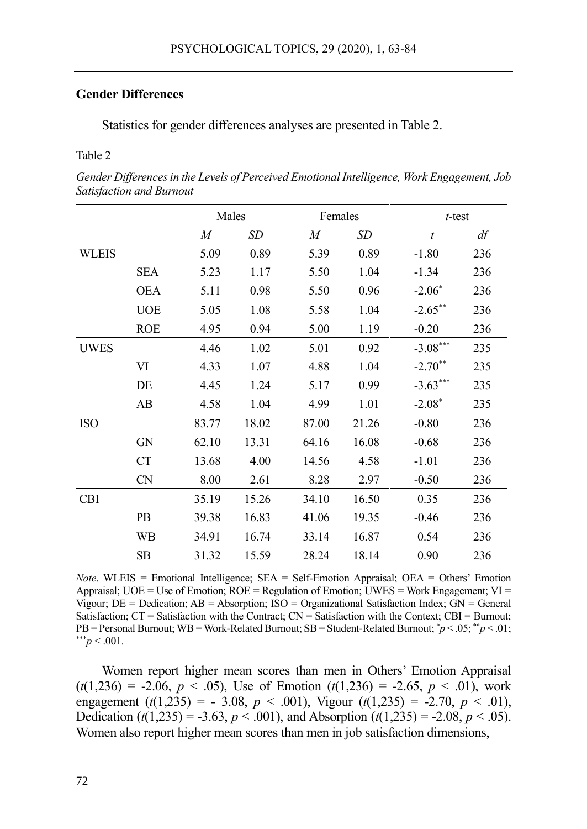# **Gender Differences**

Statistics for gender differences analyses are presented in Table 2.

### Table 2

*Gender Differences in the Levels of Perceived Emotional Intelligence, Work Engagement, Job Satisfaction and Burnout*

|              |            | Males            |       | Females |           | $t$ -test  |     |
|--------------|------------|------------------|-------|---------|-----------|------------|-----|
|              |            | $\boldsymbol{M}$ | SD    | M       | <b>SD</b> | t          | df  |
| <b>WLEIS</b> |            | 5.09             | 0.89  | 5.39    | 0.89      | $-1.80$    | 236 |
|              | <b>SEA</b> | 5.23             | 1.17  | 5.50    | 1.04      | $-1.34$    | 236 |
|              | <b>OEA</b> | 5.11             | 0.98  | 5.50    | 0.96      | $-2.06*$   | 236 |
|              | <b>UOE</b> | 5.05             | 1.08  | 5.58    | 1.04      | $-2.65***$ | 236 |
|              | <b>ROE</b> | 4.95             | 0.94  | 5.00    | 1.19      | $-0.20$    | 236 |
| UWES         |            | 4.46             | 1.02  | 5.01    | 0.92      | $-3.08***$ | 235 |
|              | VI         | 4.33             | 1.07  | 4.88    | 1.04      | $-2.70**$  | 235 |
|              | DE         | 4.45             | 1.24  | 5.17    | 0.99      | $-3.63***$ | 235 |
|              | AB         | 4.58             | 1.04  | 4.99    | 1.01      | $-2.08*$   | 235 |
| <b>ISO</b>   |            | 83.77            | 18.02 | 87.00   | 21.26     | $-0.80$    | 236 |
|              | <b>GN</b>  | 62.10            | 13.31 | 64.16   | 16.08     | $-0.68$    | 236 |
|              | <b>CT</b>  | 13.68            | 4.00  | 14.56   | 4.58      | $-1.01$    | 236 |
|              | <b>CN</b>  | 8.00             | 2.61  | 8.28    | 2.97      | $-0.50$    | 236 |
| <b>CBI</b>   |            | 35.19            | 15.26 | 34.10   | 16.50     | 0.35       | 236 |
|              | <b>PB</b>  | 39.38            | 16.83 | 41.06   | 19.35     | $-0.46$    | 236 |
|              | WB         | 34.91            | 16.74 | 33.14   | 16.87     | 0.54       | 236 |
|              | SВ         | 31.32            | 15.59 | 28.24   | 18.14     | 0.90       | 236 |

*Note*. WLEIS = Emotional Intelligence; SEA = Self-Emotion Appraisal; OEA = Others' Emotion Appraisal;  $UOE = Use of Emotion$ ;  $ROE = Regulation of Emotion$ ;  $UWES = Work Engagement$ ;  $VI =$ Vigour; DE = Dedication; AB = Absorption; ISO = Organizational Satisfaction Index; GN = General Satisfaction;  $CT =$  Satisfaction with the Contract;  $CN =$  Satisfaction with the Context;  $CBI =$  Burnout; PB = Personal Burnout; WB = Work-Related Burnout; SB = Student-Related Burnout; \**p* < .05; \*\**p* < .01;  $*^{**}p < .001$ .

Women report higher mean scores than men in Others' Emotion Appraisal  $(t(1,236) = -2.06, p < .05)$ , Use of Emotion  $(t(1,236) = -2.65, p < .01)$ , work engagement (*t*(1,235) = - 3.08, *p* < .001), Vigour (*t*(1,235) = -2.70, *p* < .01), Dedication ( $t(1,235) = -3.63$ ,  $p < .001$ ), and Absorption ( $t(1,235) = -2.08$ ,  $p < .05$ ). Women also report higher mean scores than men in job satisfaction dimensions,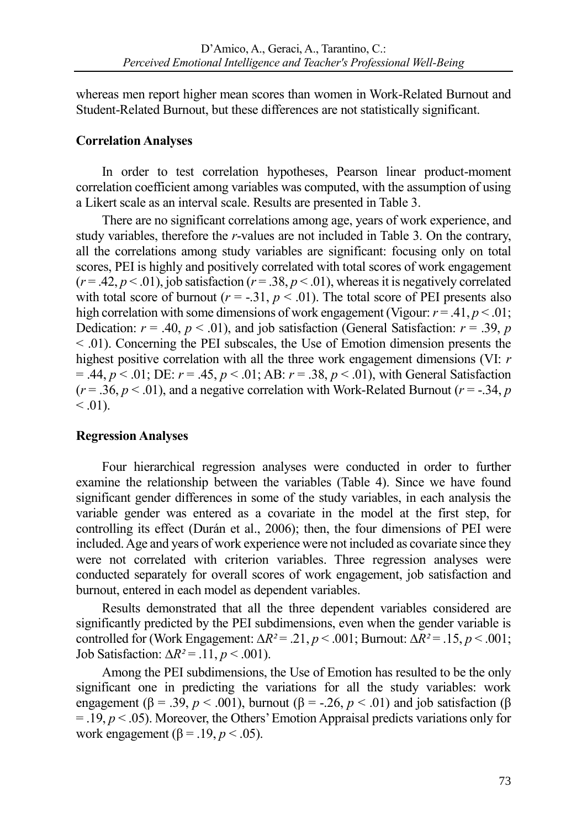whereas men report higher mean scores than women in Work-Related Burnout and Student-Related Burnout, but these differences are not statistically significant.

# **Correlation Analyses**

In order to test correlation hypotheses, Pearson linear product-moment correlation coefficient among variables was computed, with the assumption of using a Likert scale as an interval scale. Results are presented in Table 3.

There are no significant correlations among age, years of work experience, and study variables, therefore the *r*-values are not included in Table 3. On the contrary, all the correlations among study variables are significant: focusing only on total scores, PEI is highly and positively correlated with total scores of work engagement  $(r = .42, p < .01)$ , job satisfaction  $(r = .38, p < .01)$ , whereas it is negatively correlated with total score of burnout ( $r = -0.31$ ,  $p < 0.01$ ). The total score of PEI presents also high correlation with some dimensions of work engagement (Vigour:  $r = .41, p < .01$ ; Dedication:  $r = .40$ ,  $p < .01$ ), and job satisfaction (General Satisfaction:  $r = .39$ ,  $p$ < .01). Concerning the PEI subscales, the Use of Emotion dimension presents the highest positive correlation with all the three work engagement dimensions (VI: *r* = .44, *p* < .01; DE: *r* = .45, *p* < .01; AB: *r* = .38, *p* < .01), with General Satisfaction  $(r = .36, p < .01)$ , and a negative correlation with Work-Related Burnout  $(r = .34, p$  $< 0.01$ ).

# **Regression Analyses**

Four hierarchical regression analyses were conducted in order to further examine the relationship between the variables (Table 4). Since we have found significant gender differences in some of the study variables, in each analysis the variable gender was entered as a covariate in the model at the first step, for controlling its effect (Durán et al., 2006); then, the four dimensions of PEI were included. Age and years of work experience were not included as covariate since they were not correlated with criterion variables. Three regression analyses were conducted separately for overall scores of work engagement, job satisfaction and burnout, entered in each model as dependent variables.

Results demonstrated that all the three dependent variables considered are significantly predicted by the PEI subdimensions, even when the gender variable is controlled for (Work Engagement:  $\Delta R^2 = .21$ ,  $p < .001$ ; Burnout:  $\Delta R^2 = .15$ ,  $p < .001$ ; Job Satisfaction: ∆*R²* = .11, *p* < .001).

Among the PEI subdimensions, the Use of Emotion has resulted to be the only significant one in predicting the variations for all the study variables: work engagement ( $\beta$  = .39, *p* < .001), burnout ( $\beta$  = -.26, *p* < .01) and job satisfaction ( $\beta$ = .19, *p* < .05). Moreover, the Others' Emotion Appraisal predicts variations only for work engagement ( $\beta$  = .19, *p* < .05).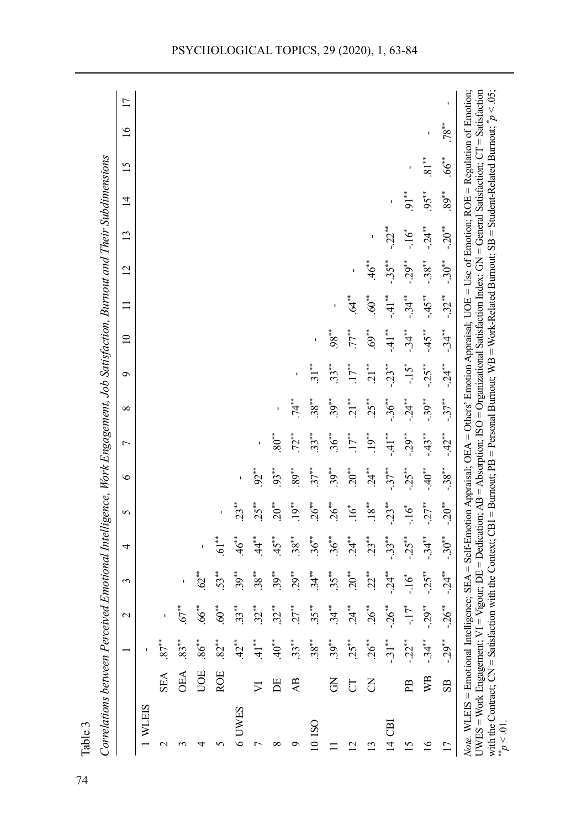| $46$ *<br>62*<br>$53**$<br>$39***$<br>$38**$<br>$33**$<br>$32**$<br>$.67**$<br>66<br>$60**$<br>$83**$<br>$86^{**}$<br>$87**$<br>$42^*$<br>$\ddot{+}$<br>$82**$<br>UOE<br><b>ROE</b><br>OEA<br><b>SEA</b><br>⋝<br>WLEIS<br>6 UWES<br>$\mathrel{\sim}$<br>5<br>4 | $61$ <sup>**</sup> |                    |                     |         |               |                |           |         | $\overline{c}$ | $\mathbf{13}$ |            | $\overline{15}$ | $\frac{6}{2}$ | 17 |
|----------------------------------------------------------------------------------------------------------------------------------------------------------------------------------------------------------------------------------------------------------------|--------------------|--------------------|---------------------|---------|---------------|----------------|-----------|---------|----------------|---------------|------------|-----------------|---------------|----|
|                                                                                                                                                                                                                                                                |                    |                    |                     |         |               |                |           |         |                |               |            |                 |               |    |
|                                                                                                                                                                                                                                                                |                    |                    |                     |         |               |                |           |         |                |               |            |                 |               |    |
|                                                                                                                                                                                                                                                                |                    |                    |                     |         |               |                |           |         |                |               |            |                 |               |    |
|                                                                                                                                                                                                                                                                |                    |                    |                     |         |               |                |           |         |                |               |            |                 |               |    |
|                                                                                                                                                                                                                                                                |                    |                    |                     |         |               |                |           |         |                |               |            |                 |               |    |
|                                                                                                                                                                                                                                                                |                    | 23**               |                     |         |               |                |           |         |                |               |            |                 |               |    |
|                                                                                                                                                                                                                                                                | *<br>य             | $25**$             | $92$ *              |         |               |                |           |         |                |               |            |                 |               |    |
| $39***$<br>$32**$<br>$40^*$<br>E<br>∞                                                                                                                                                                                                                          | $45**$             | $20^{**}$          | $93**$              | $80**$  |               |                |           |         |                |               |            |                 |               |    |
| $29**$<br>$27**$<br>$33**$<br>AB<br>ᡋ                                                                                                                                                                                                                          | $.38***$           | $19$ **            | $89***$             | $72$ ** | **<br>74      |                |           |         |                |               |            |                 |               |    |
| $34**$<br>$.35***$<br>$.38***$<br>10 ISO                                                                                                                                                                                                                       | $36**$             | $26**$             | $37**$              | $33**$  | $38**$        | $31**$         |           |         |                |               |            |                 |               |    |
| $35**$<br>$34**$<br>$39***$<br>$\overline{5}$                                                                                                                                                                                                                  | $36^{**}$          | $26**$             | $39***$             | $36***$ | $39***$       | $33**$         | $.98***$  |         |                |               |            |                 |               |    |
| $20^{**}$<br>$24^{**}$<br>$25***$<br>5<br>$\overline{2}$                                                                                                                                                                                                       | $24^{*}$           | *6.                | $20^{**}$           | $17**$  | $\ddot{21}^*$ | 17**           | $77^{**}$ | **<br>∢ |                |               |            |                 |               |    |
| $2^{**}$<br>$26**$<br>$26**$<br>3<br>$\mathbf{C}$                                                                                                                                                                                                              | $23**$             | $18**$             | **<br>24            | $19$ *  | $25**$        | $\frac{1}{21}$ | $69**$    | $60**$  | $46$ *         |               |            |                 |               |    |
| $-24**$<br>$-26$ **<br>$-31**$<br>පි<br>$\vec{4}$                                                                                                                                                                                                              | $-33**$            | $-23**$            | $-37**$             | $-41**$ | $-36**$       | $-23**$        | $-41**$   | $-41**$ | $-35**$        | ÷∗ ⊂          |            |                 |               |    |
| ى.<br>ما<br>-17*<br>$-22**$<br>PB<br>$\overline{15}$                                                                                                                                                                                                           | $-25**$            | $-16$ <sup>*</sup> | $-25$ <sup>**</sup> | $-29**$ | $-24$         | $-1.5$         | $-34**$   | $-34**$ | $-29**$        | -16*          | $91$ **    |                 |               |    |
| $-25$ **<br>$-29**$<br>УB<br>$\frac{6}{2}$                                                                                                                                                                                                                     | $-34**$            | $-27**$            | $-40**$             | $-43**$ | $-39***$      | $-25**$        | $-45"$    | $-45**$ | $-38***$       | $-24**$       | $95***$    | $81^{**}$       | ı             |    |
| $-30^{**}$<br>$-24$<br>$-26$ **<br>$-0.29$ **<br>$_{\rm SB}$<br>$\overline{1}$                                                                                                                                                                                 |                    | $-20**$            | $-38**$             | $-42**$ | $-37$ *       | $-24$          | $-34**$   | $-32**$ | $-30**$        | $-20**$       | $.89^{**}$ | $.66***$        | $.78***$      | ı  |

Table 3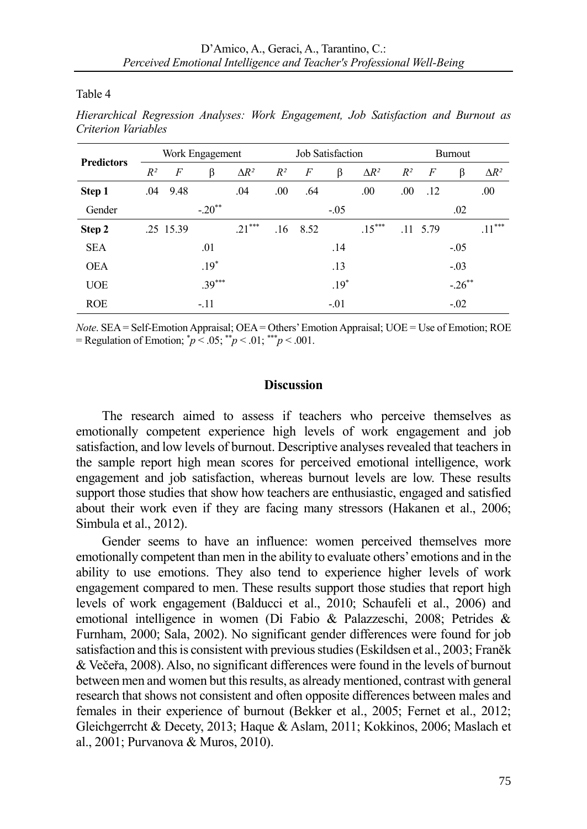Table 4

|                   | Work Engagement |           |          |              |       |      | Job Satisfaction |              |       |                  | <b>Burnout</b> |              |
|-------------------|-----------------|-----------|----------|--------------|-------|------|------------------|--------------|-------|------------------|----------------|--------------|
| <b>Predictors</b> | $R^2$           | F         | β        | $\Delta R^2$ | $R^2$ | F    | β                | $\Delta R^2$ | $R^2$ | $\boldsymbol{F}$ | β              | $\Delta R^2$ |
| Step 1            | .04             | 9.48      |          | .04          | .00   | .64  |                  | .00          | .00   | .12              |                | .00          |
| Gender            |                 |           | $-.20**$ |              |       |      | $-.05$           |              |       |                  | .02            |              |
| Step 2            |                 | .25 15.39 |          | $.21***$     | .16   | 8.52 |                  | $.15***$     |       | $.11 \quad 5.79$ |                | $.11***$     |
| <b>SEA</b>        |                 |           | .01      |              |       |      | .14              |              |       |                  | $-.05$         |              |
| <b>OEA</b>        |                 |           | $.19*$   |              |       |      | .13              |              |       |                  | $-.03$         |              |
| <b>UOE</b>        |                 |           | $.39***$ |              |       |      | $.19*$           |              |       |                  | $-.26***$      |              |
| <b>ROE</b>        |                 |           | $-.11$   |              |       |      | $-.01$           |              |       |                  | $-.02$         |              |

*Hierarchical Regression Analyses: Work Engagement, Job Satisfaction and Burnout as Criterion Variables*

*Note*. SEA = Self-Emotion Appraisal; OEA = Others' Emotion Appraisal; UOE = Use of Emotion; ROE = Regulation of Emotion;  $\gamma p < .05$ ; \*\* $p < .01$ ; \*\*\* $p < .001$ .

# **Discussion**

The research aimed to assess if teachers who perceive themselves as emotionally competent experience high levels of work engagement and job satisfaction, and low levels of burnout. Descriptive analyses revealed that teachers in the sample report high mean scores for perceived emotional intelligence, work engagement and job satisfaction, whereas burnout levels are low. These results support those studies that show how teachers are enthusiastic, engaged and satisfied about their work even if they are facing many stressors (Hakanen et al., 2006; Simbula et al., 2012).

Gender seems to have an influence: women perceived themselves more emotionally competent than men in the ability to evaluate others' emotions and in the ability to use emotions. They also tend to experience higher levels of work engagement compared to men. These results support those studies that report high levels of work engagement (Balducci et al., 2010; Schaufeli et al., 2006) and emotional intelligence in women (Di Fabio & Palazzeschi, 2008; Petrides & Furnham, 2000; Sala, 2002). No significant gender differences were found for job satisfaction and this is consistent with previous studies (Eskildsen et al., 2003; Franěk & Večeřa, 2008). Also, no significant differences were found in the levels of burnout between men and women but this results, as already mentioned, contrast with general research that shows not consistent and often opposite differences between males and females in their experience of burnout (Bekker et al., 2005; Fernet et al., 2012; Gleichgerrcht & Decety, 2013; Haque & Aslam, 2011; Kokkinos, 2006; Maslach et al., 2001; Purvanova & Muros, 2010).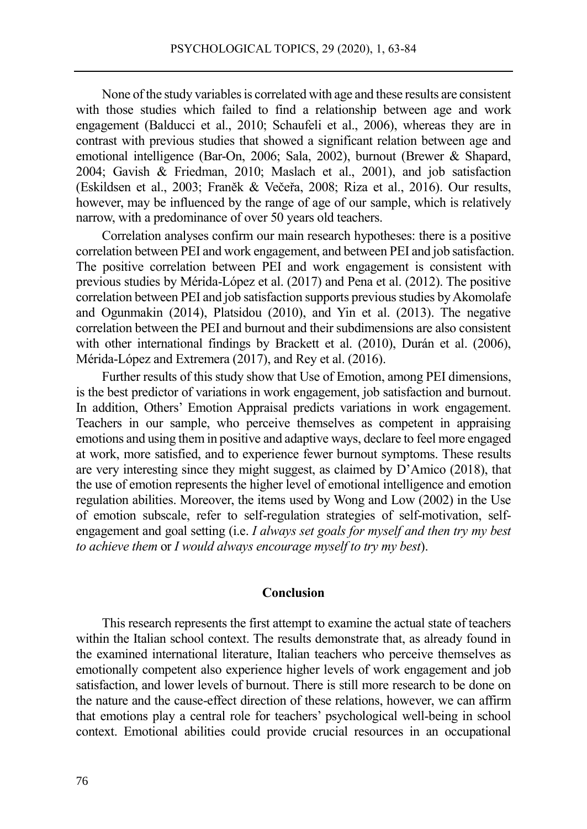None of the study variables is correlated with age and these results are consistent with those studies which failed to find a relationship between age and work engagement (Balducci et al., 2010; Schaufeli et al., 2006), whereas they are in contrast with previous studies that showed a significant relation between age and emotional intelligence (Bar-On, 2006; Sala, 2002), burnout (Brewer & Shapard, 2004; Gavish & Friedman, 2010; Maslach et al., 2001), and job satisfaction (Eskildsen et al., 2003; Franěk & Večeřa, 2008; Riza et al., 2016). Our results, however, may be influenced by the range of age of our sample, which is relatively narrow, with a predominance of over 50 years old teachers.

Correlation analyses confirm our main research hypotheses: there is a positive correlation between PEI and work engagement, and between PEI and job satisfaction. The positive correlation between PEI and work engagement is consistent with previous studies by Mérida-López et al. (2017) and Pena et al. (2012). The positive correlation between PEI and job satisfaction supports previous studies by Akomolafe and Ogunmakin (2014), Platsidou (2010), and Yin et al. (2013). The negative correlation between the PEI and burnout and their subdimensions are also consistent with other international findings by Brackett et al. (2010), Durán et al. (2006), Mérida-López and Extremera (2017), and Rey et al. (2016).

Further results of this study show that Use of Emotion, among PEI dimensions, is the best predictor of variations in work engagement, job satisfaction and burnout. In addition, Others' Emotion Appraisal predicts variations in work engagement. Teachers in our sample, who perceive themselves as competent in appraising emotions and using them in positive and adaptive ways, declare to feel more engaged at work, more satisfied, and to experience fewer burnout symptoms. These results are very interesting since they might suggest, as claimed by D'Amico (2018), that the use of emotion represents the higher level of emotional intelligence and emotion regulation abilities. Moreover, the items used by Wong and Low (2002) in the Use of emotion subscale, refer to self-regulation strategies of self-motivation, selfengagement and goal setting (i.e. *I always set goals for myself and then try my best to achieve them* or *I would always encourage myself to try my best*).

### **Conclusion**

This research represents the first attempt to examine the actual state of teachers within the Italian school context. The results demonstrate that, as already found in the examined international literature, Italian teachers who perceive themselves as emotionally competent also experience higher levels of work engagement and job satisfaction, and lower levels of burnout. There is still more research to be done on the nature and the cause-effect direction of these relations, however, we can affirm that emotions play a central role for teachers' psychological well-being in school context. Emotional abilities could provide crucial resources in an occupational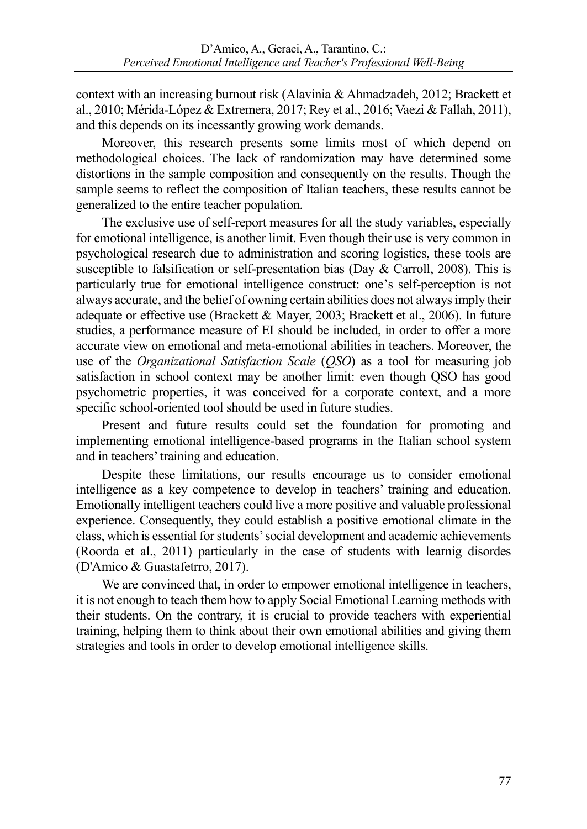context with an increasing burnout risk (Alavinia & Ahmadzadeh, 2012; Brackett et al., 2010; Mérida-López & Extremera, 2017; Rey et al., 2016; Vaezi & Fallah, 2011), and this depends on its incessantly growing work demands.

Moreover, this research presents some limits most of which depend on methodological choices. The lack of randomization may have determined some distortions in the sample composition and consequently on the results. Though the sample seems to reflect the composition of Italian teachers, these results cannot be generalized to the entire teacher population.

The exclusive use of self-report measures for all the study variables, especially for emotional intelligence, is another limit. Even though their use is very common in psychological research due to administration and scoring logistics, these tools are susceptible to falsification or self-presentation bias (Day & Carroll, 2008). This is particularly true for emotional intelligence construct: one's self-perception is not always accurate, and the belief of owning certain abilities does not always imply their adequate or effective use (Brackett & Mayer, 2003; Brackett et al., 2006). In future studies, a performance measure of EI should be included, in order to offer a more accurate view on emotional and meta-emotional abilities in teachers. Moreover, the use of the *Organizational Satisfaction Scale* (*QSO*) as a tool for measuring job satisfaction in school context may be another limit: even though QSO has good psychometric properties, it was conceived for a corporate context, and a more specific school-oriented tool should be used in future studies.

Present and future results could set the foundation for promoting and implementing emotional intelligence-based programs in the Italian school system and in teachers' training and education.

Despite these limitations, our results encourage us to consider emotional intelligence as a key competence to develop in teachers' training and education. Emotionally intelligent teachers could live a more positive and valuable professional experience. Consequently, they could establish a positive emotional climate in the class, which is essential for students' social development and academic achievements (Roorda et al., 2011) particularly in the case of students with learnig disordes (D'Amico & Guastafetrro, 2017).

We are convinced that, in order to empower emotional intelligence in teachers, it is not enough to teach them how to apply Social Emotional Learning methods with their students. On the contrary, it is crucial to provide teachers with experiential training, helping them to think about their own emotional abilities and giving them strategies and tools in order to develop emotional intelligence skills.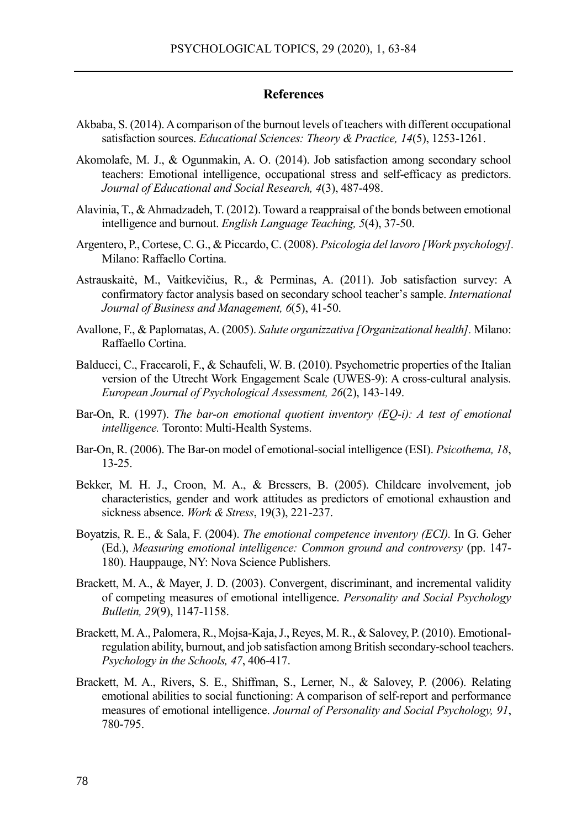#### **References**

- Akbaba, S. (2014). A comparison of the burnout levels of teachers with different occupational satisfaction sources. *Educational Sciences: Theory & Practice, 14*(5), 1253-1261.
- Akomolafe, M. J., & Ogunmakin, A. O. (2014). Job satisfaction among secondary school teachers: Emotional intelligence, occupational stress and self-efficacy as predictors. *Journal of Educational and Social Research, 4*(3), 487-498.
- Alavinia, T., & Ahmadzadeh, T. (2012). Toward a reappraisal of the bonds between emotional intelligence and burnout. *English Language Teaching, 5*(4), 37-50.
- Argentero, P., Cortese, C. G., & Piccardo, C. (2008). *Psicologia del lavoro [Work psychology].* Milano: Raffaello Cortina.
- Astrauskaitė, M., Vaitkevičius, R., & Perminas, A. (2011). Job satisfaction survey: A confirmatory factor analysis based on secondary school teacher's sample. *International Journal of Business and Management, 6*(5), 41-50.
- Avallone, F., & Paplomatas, A. (2005). *Salute organizzativa [Organizational health].* Milano: Raffaello Cortina.
- Balducci, C., Fraccaroli, F., & Schaufeli, W. B. (2010). Psychometric properties of the Italian version of the Utrecht Work Engagement Scale (UWES-9): A cross-cultural analysis. *European Journal of Psychological Assessment, 26*(2), 143-149.
- Bar-On, R. (1997). *The bar-on emotional quotient inventory (EQ-i): A test of emotional intelligence.* Toronto: Multi-Health Systems.
- Bar-On, R. (2006). The Bar-on model of emotional-social intelligence (ESI). *Psicothema, 18*, 13-25.
- Bekker, M. H. J., Croon, M. A., & Bressers, B. (2005). Childcare involvement, job characteristics, gender and work attitudes as predictors of emotional exhaustion and sickness absence. *Work & Stress*, 19(3), 221-237.
- Boyatzis, R. E., & Sala, F. (2004). *The emotional competence inventory (ECI).* In G. Geher (Ed.), *Measuring emotional intelligence: Common ground and controversy* (pp. 147- 180). Hauppauge, NY: Nova Science Publishers.
- Brackett, M. A., & Mayer, J. D. (2003). Convergent, discriminant, and incremental validity of competing measures of emotional intelligence. *Personality and Social Psychology Bulletin, 29*(9), 1147-1158.
- Brackett, M. A., Palomera, R., Mojsa-Kaja, J., Reyes, M. R., & Salovey, P. (2010). Emotionalregulation ability, burnout, and job satisfaction among British secondary-school teachers. *Psychology in the Schools, 47*, 406-417.
- Brackett, M. A., Rivers, S. E., Shiffman, S., Lerner, N., & Salovey, P. (2006). Relating emotional abilities to social functioning: A comparison of self-report and performance measures of emotional intelligence. *Journal of Personality and Social Psychology, 91*, 780-795.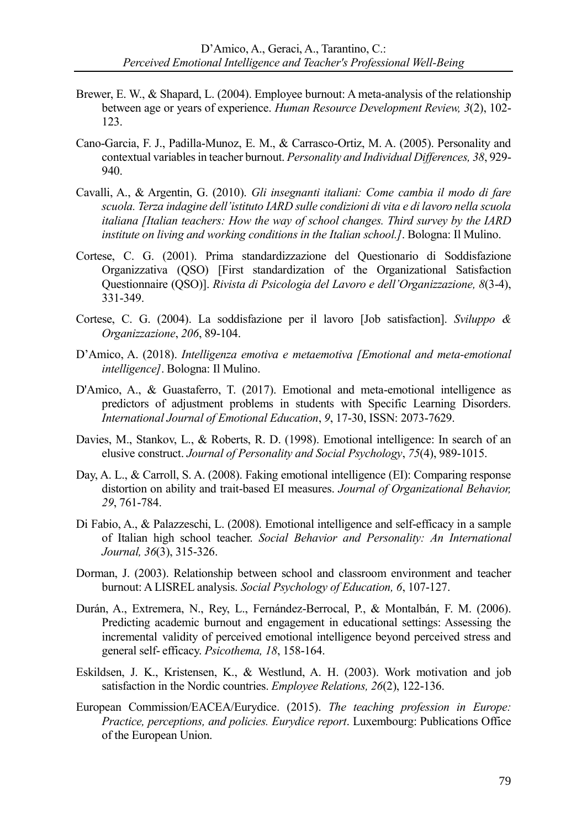- Brewer, E. W., & Shapard, L. (2004). Employee burnout: A meta-analysis of the relationship between age or years of experience. *Human Resource Development Review, 3*(2), 102- 123.
- Cano-Garcia, F. J., Padilla-Munoz, E. M., & Carrasco-Ortiz, M. A. (2005). Personality and contextual variables in teacher burnout. *Personality and Individual Differences, 38*, 929- 940.
- Cavalli, A., & Argentin, G. (2010). *Gli insegnanti italiani: Come cambia il modo di fare scuola. Terza indagine dell'istituto IARD sulle condizioni di vita e di lavoro nella scuola italiana [Italian teachers: How the way of school changes. Third survey by the IARD institute on living and working conditions in the Italian school.]*. Bologna: Il Mulino.
- Cortese, C. G. (2001). Prima standardizzazione del Questionario di Soddisfazione Organizzativa (QSO) [First standardization of the Organizational Satisfaction Questionnaire (QSO)]. *Rivista di Psicologia del Lavoro e dell'Organizzazione, 8*(3-4), 331-349.
- Cortese, C. G. (2004). La soddisfazione per il lavoro [Job satisfaction]. *Sviluppo & Organizzazione*, *206*, 89-104.
- D'Amico, A. (2018). *Intelligenza emotiva e metaemotiva [Emotional and meta-emotional intelligence]*. Bologna: Il Mulino.
- D'Amico, A., & Guastaferro, T. (2017). Emotional and meta-emotional intelligence as predictors of adjustment problems in students with Specific Learning Disorders. *International Journal of Emotional Education*, *9*, 17-30, ISSN: 2073-7629.
- Davies, M., Stankov, L., & Roberts, R. D. (1998). Emotional intelligence: In search of an elusive construct. *Journal of Personality and Social Psychology*, *75*(4), 989-1015.
- Day, A. L., & Carroll, S. A. (2008). Faking emotional intelligence (EI): Comparing response distortion on ability and trait-based EI measures. *Journal of Organizational Behavior, 29*, 761-784.
- Di Fabio, A., & Palazzeschi, L. (2008). Emotional intelligence and self-efficacy in a sample of Italian high school teacher. *Social Behavior and Personality: An International Journal, 36*(3), 315-326.
- Dorman, J. (2003). Relationship between school and classroom environment and teacher burnout: A LISREL analysis. *Social Psychology of Education, 6*, 107-127.
- Durán, A., Extremera, N., Rey, L., Fernández-Berrocal, P., & Montalbán, F. M. (2006). Predicting academic burnout and engagement in educational settings: Assessing the incremental validity of perceived emotional intelligence beyond perceived stress and general self- efficacy. *Psicothema, 18*, 158-164.
- Eskildsen, J. K., Kristensen, K., & Westlund, A. H. (2003). Work motivation and job satisfaction in the Nordic countries. *Employee Relations, 26*(2), 122-136.
- European Commission/EACEA/Eurydice. (2015). *The teaching profession in Europe: Practice, perceptions, and policies. Eurydice report*. Luxembourg: Publications Office of the European Union.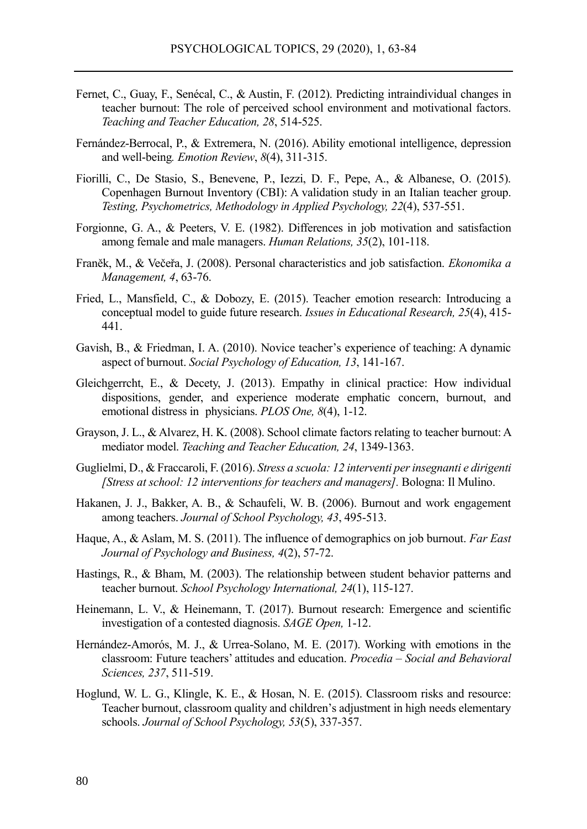- Fernet, C., Guay, F., Senécal, C., & Austin, F. (2012). Predicting intraindividual changes in teacher burnout: The role of perceived school environment and motivational factors. *Teaching and Teacher Education, 28*, 514-525.
- Fernández-Berrocal, P., & Extremera, N. (2016). Ability emotional intelligence, depression and well-being*. Emotion Review*, *8*(4), 311-315.
- Fiorilli, C., De Stasio, S., Benevene, P., Iezzi, D. F., Pepe, A., & Albanese, O. (2015). Copenhagen Burnout Inventory (CBI): A validation study in an Italian teacher group. *Testing, Psychometrics, Methodology in Applied Psychology, 22*(4), 537-551.
- Forgionne, G. A., & Peeters, V. E. (1982). Differences in job motivation and satisfaction among female and male managers. *Human Relations, 35*(2), 101-118.
- Franěk, M., & Večeřa, J. (2008). Personal characteristics and job satisfaction. *Ekonomika a Management, 4*, 63-76.
- Fried, L., Mansfield, C., & Dobozy, E. (2015). Teacher emotion research: Introducing a conceptual model to guide future research. *Issues in Educational Research, 25*(4), 415- 441.
- Gavish, B., & Friedman, I. A. (2010). Novice teacher's experience of teaching: A dynamic aspect of burnout. *Social Psychology of Education, 13*, 141-167.
- Gleichgerrcht, E., & Decety, J. (2013). Empathy in clinical practice: How individual dispositions, gender, and experience moderate emphatic concern, burnout, and emotional distress in physicians. *PLOS One, 8*(4), 1-12.
- Grayson, J. L., & Alvarez, H. K. (2008). School climate factors relating to teacher burnout: A mediator model. *Teaching and Teacher Education, 24*, 1349-1363.
- Guglielmi, D., & Fraccaroli, F. (2016). *Stress a scuola: 12 interventi per insegnanti e dirigenti [Stress at school: 12 interventions for teachers and managers].* Bologna: Il Mulino.
- Hakanen, J. J., Bakker, A. B., & Schaufeli, W. B. (2006). Burnout and work engagement among teachers. *Journal of School Psychology, 43*, 495-513.
- Haque, A., & Aslam, M. S. (2011). The influence of demographics on job burnout. *Far East Journal of Psychology and Business, 4*(2), 57-72.
- Hastings, R., & Bham, M. (2003). The relationship between student behavior patterns and teacher burnout. *School Psychology International, 24*(1), 115-127.
- Heinemann, L. V., & Heinemann, T. (2017). Burnout research: Emergence and scientific investigation of a contested diagnosis. *SAGE Open,* 1-12.
- Hernández-Amorós, M. J., & Urrea-Solano, M. E. (2017). Working with emotions in the classroom: Future teachers' attitudes and education. *Procedia – Social and Behavioral Sciences, 237*, 511-519.
- Hoglund, W. L. G., Klingle, K. E., & Hosan, N. E. (2015). Classroom risks and resource: Teacher burnout, classroom quality and children's adjustment in high needs elementary schools. *Journal of School Psychology, 53*(5), 337-357.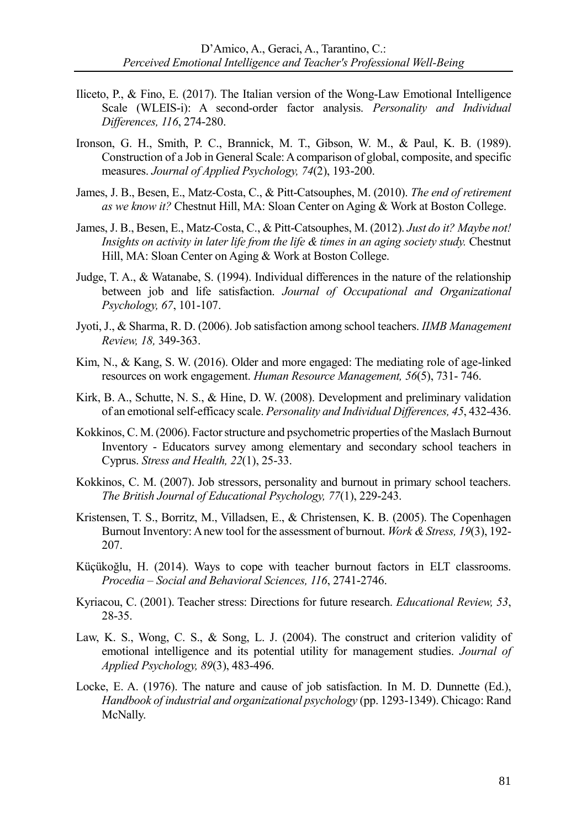- Iliceto, P., & Fino, E. (2017). The Italian version of the Wong-Law Emotional Intelligence Scale (WLEIS-i): A second-order factor analysis. *Personality and Individual Differences, 116*, 274-280.
- Ironson, G. H., Smith, P. C., Brannick, M. T., Gibson, W. M., & Paul, K. B. (1989). Construction of a Job in General Scale: A comparison of global, composite, and specific measures. *Journal of Applied Psychology, 74*(2), 193-200.
- James, J. B., Besen, E., Matz-Costa, C., & Pitt-Catsouphes, M. (2010). *The end of retirement as we know it?* Chestnut Hill, MA: Sloan Center on Aging & Work at Boston College.
- James, J. B., Besen, E., Matz-Costa, C., & Pitt-Catsouphes, M. (2012). *Just do it? Maybe not! Insights on activity in later life from the life & times in an aging society study.* Chestnut Hill, MA: Sloan Center on Aging & Work at Boston College.
- Judge, T. A., & Watanabe, S. (1994). Individual differences in the nature of the relationship between job and life satisfaction. *Journal of Occupational and Organizational Psychology, 67*, 101-107.
- Jyoti, J., & Sharma, R. D. (2006). Job satisfaction among school teachers. *IIMB Management Review, 18,* 349-363.
- Kim, N., & Kang, S. W. (2016). Older and more engaged: The mediating role of age-linked resources on work engagement. *Human Resource Management, 56*(5), 731- 746.
- Kirk, B. A., Schutte, N. S., & Hine, D. W. (2008). Development and preliminary validation of an emotional self-efficacy scale. *Personality and Individual Differences, 45*, 432-436.
- Kokkinos, C. M. (2006). Factor structure and psychometric properties of the Maslach Burnout Inventory - Educators survey among elementary and secondary school teachers in Cyprus. *Stress and Health, 22*(1), 25-33.
- Kokkinos, C. M. (2007). Job stressors, personality and burnout in primary school teachers. *The British Journal of Educational Psychology, 77*(1), 229-243.
- Kristensen, T. S., Borritz, M., Villadsen, E., & Christensen, K. B. (2005). The Copenhagen Burnout Inventory: A new tool for the assessment of burnout. *Work & Stress, 19*(3), 192- 207.
- [Küçükoğlu,](https://www.sciencedirect.com/science/article/pii/S1877042814006648#_blank) H. (2014). Ways to cope with teacher burnout factors in ELT classrooms. *Procedia – Social and Behavioral Sciences, 116*, 2741-2746.
- Kyriacou, C. (2001). Teacher stress: Directions for future research. *Educational Review, 53*, 28-35.
- Law, K. S., Wong, C. S., & Song, L. J. (2004). The construct and criterion validity of emotional intelligence and its potential utility for management studies. *Journal of Applied Psychology, 89*(3), 483-496.
- Locke, E. A. (1976). The nature and cause of job satisfaction. In M. D. Dunnette (Ed.), *Handbook of industrial and organizational psychology* (pp. 1293-1349). Chicago: Rand McNally.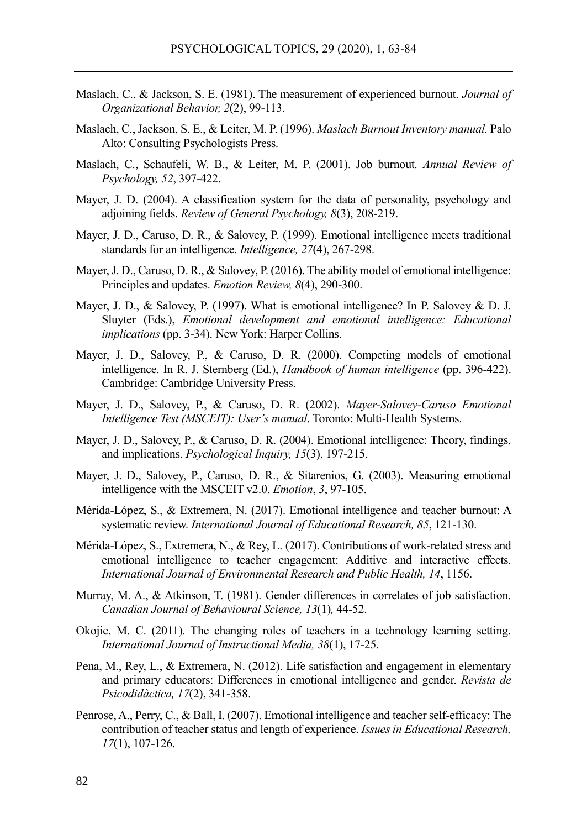- Maslach, C., & Jackson, S. E. (1981). The measurement of experienced burnout. *Journal of Organizational Behavior, 2*(2), 99-113.
- Maslach, C., Jackson, S. E., & Leiter, M. P. (1996). *Maslach Burnout Inventory manual.* Palo Alto: Consulting Psychologists Press.
- Maslach, C., Schaufeli, W. B., & Leiter, M. P. (2001). Job burnout. *Annual Review of Psychology, 52*, 397-422.
- Mayer, J. D. (2004). A classification system for the data of personality, psychology and adjoining fields. *Review of General Psychology, 8*(3), 208-219.
- Mayer, J. D., Caruso, D. R., & Salovey, P. (1999). Emotional intelligence meets traditional standards for an intelligence. *Intelligence, 27*(4), 267-298.
- Mayer, J. D., Caruso, D. R., & Salovey, P. (2016). The ability model of emotional intelligence: Principles and updates. *Emotion Review, 8*(4), 290-300.
- Mayer, J. D., & Salovey, P. (1997). What is emotional intelligence? In P. Salovey & D. J. Sluyter (Eds.), *Emotional development and emotional intelligence: Educational implications* (pp. 3-34). New York: Harper Collins.
- Mayer, J. D., Salovey, P., & Caruso, D. R. (2000). Competing models of emotional intelligence. In R. J. Sternberg (Ed.), *Handbook of human intelligence* (pp. 396-422). Cambridge: Cambridge University Press.
- Mayer, J. D., Salovey, P., & Caruso, D. R. (2002). *Mayer-Salovey-Caruso Emotional Intelligence Test (MSCEIT): User's manual*. Toronto: Multi-Health Systems.
- Mayer, J. D., Salovey, P., & Caruso, D. R. (2004). Emotional intelligence: Theory, findings, and implications. *Psychological Inquiry, 15*(3), 197-215.
- Mayer, J. D., Salovey, P., Caruso, D. R., & Sitarenios, G. (2003). Measuring emotional intelligence with the MSCEIT v2.0. *Emotion*, *3*, 97-105.
- Mérida-López, S., & Extremera, N. (2017). Emotional intelligence and teacher burnout: A systematic review. *International Journal of Educational Research, 85*, 121-130.
- Mérida-López, S., Extremera, N., & Rey, L. (2017). Contributions of work-related stress and emotional intelligence to teacher engagement: Additive and interactive effects. *International Journal of Environmental Research and Public Health, 14*, 1156.
- Murray, M. A., & Atkinson, T. (1981). Gender differences in correlates of job satisfaction. *Canadian Journal of Behavioural Science, 13*(1)*,* 44-52.
- Okojie, M. C. (2011). The changing roles of teachers in a technology learning setting. *International Journal of Instructional Media, 38*(1), 17-25.
- Pena, M., Rey, L., & Extremera, N. (2012). Life satisfaction and engagement in elementary and primary educators: Differences in emotional intelligence and gender. *Revista de Psicodidàctica, 17*(2), 341-358.
- Penrose, A., Perry, C., & Ball, I. (2007). Emotional intelligence and teacher self-efficacy: The contribution of teacher status and length of experience. *Issues in Educational Research, 17*(1), 107-126.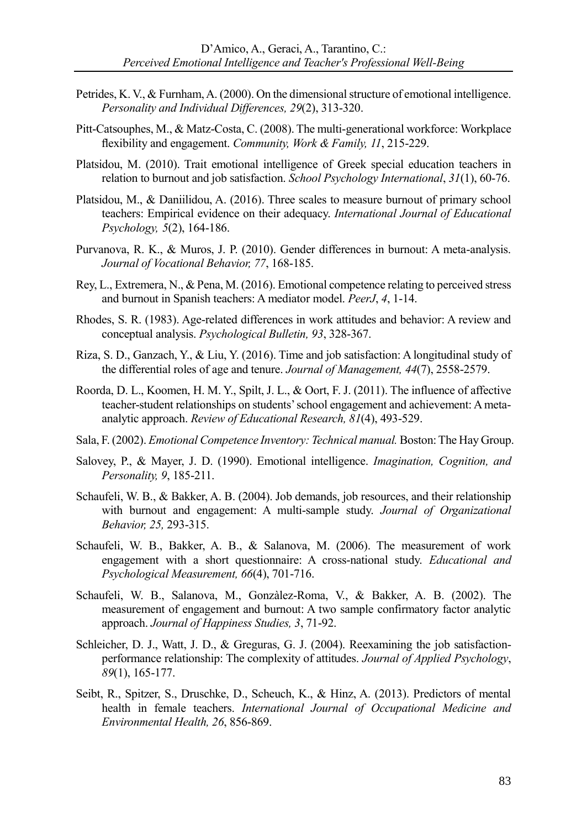- Petrides, K. V., & Furnham, A. (2000). On the dimensional structure of emotional intelligence. *Personality and Individual Differences, 29*(2), 313-320.
- Pitt-Catsouphes, M., & Matz-Costa, C. (2008). The multi-generational workforce: Workplace flexibility and engagement. *Community, Work & Family, 11*, 215-229.
- Platsidou, M. (2010). Trait emotional intelligence of Greek special education teachers in relation to burnout and job satisfaction. *School Psychology International*, *31*(1), 60-76.
- Platsidou, M., & Daniilidou, A. (2016). Three scales to measure burnout of primary school teachers: Empirical evidence on their adequacy. *International Journal of Educational Psychology, 5*(2), 164-186.
- Purvanova, R. K., & Muros, J. P. (2010). Gender differences in burnout: A meta-analysis. *Journal of Vocational Behavior, 77*, 168-185.
- Rey, L., Extremera, N., & Pena, M. (2016). Emotional competence relating to perceived stress and burnout in Spanish teachers: A mediator model. *PeerJ*, *4*, 1-14.
- Rhodes, S. R. (1983). Age-related differences in work attitudes and behavior: A review and conceptual analysis. *Psychological Bulletin, 93*, 328-367.
- Riza, S. D., Ganzach, Y., & Liu, Y. (2016). Time and job satisfaction: A longitudinal study of the differential roles of age and tenure. *Journal of Management, 44*(7), 2558-2579.
- Roorda, D. L., Koomen, H. M. Y., Spilt, J. L., & Oort, F. J. (2011). The influence of affective teacher-student relationships on students' school engagement and achievement: A metaanalytic approach. *Review of Educational Research, 81*(4), 493-529.
- Sala, F. (2002). *Emotional Competence Inventory: Technical manual.* Boston: The Hay Group.
- Salovey, P., & Mayer, J. D. (1990). Emotional intelligence. *Imagination, Cognition, and Personality, 9*, 185-211.
- Schaufeli, W. B., & Bakker, A. B. (2004). Job demands, job resources, and their relationship with burnout and engagement: A multi-sample study. *Journal of Organizational Behavior, 25,* 293-315.
- Schaufeli, W. B., Bakker, A. B., & Salanova, M. (2006). The measurement of work engagement with a short questionnaire: A cross-national study. *Educational and Psychological Measurement, 66*(4), 701-716.
- Schaufeli, W. B., Salanova, M., Gonzàlez-Roma, V., & Bakker, A. B. (2002). The measurement of engagement and burnout: A two sample confirmatory factor analytic approach. *Journal of Happiness Studies, 3*, 71-92.
- Schleicher, D. J., Watt, J. D., & Greguras, G. J. (2004). Reexamining the job satisfactionperformance relationship: The complexity of attitudes. *Journal of Applied Psychology*, *89*(1), 165-177.
- Seibt, R., Spitzer, S., Druschke, D., Scheuch, K., & Hinz, A. (2013). Predictors of mental health in female teachers. *International Journal of Occupational Medicine and Environmental Health, 26*, 856-869.